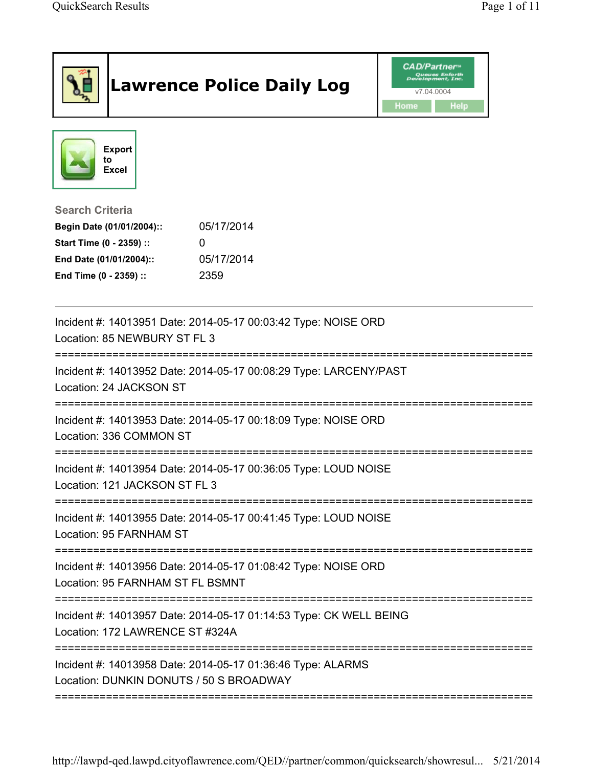|                                                                                                                                      | <b>Lawrence Police Daily Log</b>                                   | <b>CAD/Partner</b> "<br>v7.04.0004<br>Home<br><b>Help</b> |
|--------------------------------------------------------------------------------------------------------------------------------------|--------------------------------------------------------------------|-----------------------------------------------------------|
| <b>Export</b><br>to<br><b>Excel</b>                                                                                                  |                                                                    |                                                           |
| <b>Search Criteria</b><br>Begin Date (01/01/2004)::<br>Start Time (0 - 2359) ::<br>End Date (01/01/2004)::<br>End Time (0 - 2359) :: | 05/17/2014<br>05/17/2014<br>2359                                   |                                                           |
| Location: 85 NEWBURY ST FL 3                                                                                                         | Incident #: 14013951 Date: 2014-05-17 00:03:42 Type: NOISE ORD     |                                                           |
| Location: 24 JACKSON ST                                                                                                              | Incident #: 14013952 Date: 2014-05-17 00:08:29 Type: LARCENY/PAST  |                                                           |
| Location: 336 COMMON ST                                                                                                              | Incident #: 14013953 Date: 2014-05-17 00:18:09 Type: NOISE ORD     | ---------------                                           |
| Incident #: 14013954 Date: 2014-05-17 00:36:05 Type: LOUD NOISE<br>Location: 121 JACKSON ST FL 3                                     |                                                                    |                                                           |
| Location: 95 FARNHAM ST                                                                                                              | Incident #: 14013955 Date: 2014-05-17 00:41:45 Type: LOUD NOISE    |                                                           |
| Location: 95 FARNHAM ST FL BSMNT                                                                                                     | Incident #: 14013956 Date: 2014-05-17 01:08:42 Type: NOISE ORD     |                                                           |
| Location: 172 LAWRENCE ST #324A                                                                                                      | Incident #: 14013957 Date: 2014-05-17 01:14:53 Type: CK WELL BEING |                                                           |
| Incident #: 14013958 Date: 2014-05-17 01:36:46 Type: ALARMS<br>Location: DUNKIN DONUTS / 50 S BROADWAY                               |                                                                    |                                                           |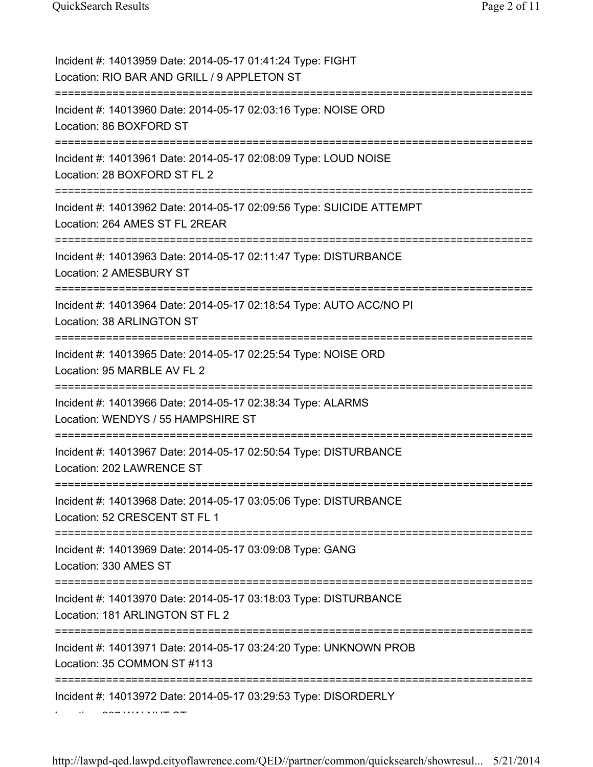| Incident #: 14013959 Date: 2014-05-17 01:41:24 Type: FIGHT<br>Location: RIO BAR AND GRILL / 9 APPLETON ST                                       |
|-------------------------------------------------------------------------------------------------------------------------------------------------|
| Incident #: 14013960 Date: 2014-05-17 02:03:16 Type: NOISE ORD<br>Location: 86 BOXFORD ST                                                       |
| Incident #: 14013961 Date: 2014-05-17 02:08:09 Type: LOUD NOISE<br>Location: 28 BOXFORD ST FL 2<br>========================                     |
| Incident #: 14013962 Date: 2014-05-17 02:09:56 Type: SUICIDE ATTEMPT<br>Location: 264 AMES ST FL 2REAR<br>===================================== |
| Incident #: 14013963 Date: 2014-05-17 02:11:47 Type: DISTURBANCE<br>Location: 2 AMESBURY ST                                                     |
| Incident #: 14013964 Date: 2014-05-17 02:18:54 Type: AUTO ACC/NO PI<br>Location: 38 ARLINGTON ST                                                |
| Incident #: 14013965 Date: 2014-05-17 02:25:54 Type: NOISE ORD<br>Location: 95 MARBLE AV FL 2                                                   |
| Incident #: 14013966 Date: 2014-05-17 02:38:34 Type: ALARMS<br>Location: WENDYS / 55 HAMPSHIRE ST                                               |
| Incident #: 14013967 Date: 2014-05-17 02:50:54 Type: DISTURBANCE<br>Location: 202 LAWRENCE ST                                                   |
| Incident #: 14013968 Date: 2014-05-17 03:05:06 Type: DISTURBANCE<br>Location: 52 CRESCENT ST FL 1                                               |
| Incident #: 14013969 Date: 2014-05-17 03:09:08 Type: GANG<br>Location: 330 AMES ST                                                              |
| Incident #: 14013970 Date: 2014-05-17 03:18:03 Type: DISTURBANCE<br>Location: 181 ARLINGTON ST FL 2                                             |
| ============<br>Incident #: 14013971 Date: 2014-05-17 03:24:20 Type: UNKNOWN PROB<br>Location: 35 COMMON ST #113                                |
| Incident #: 14013972 Date: 2014-05-17 03:29:53 Type: DISORDERLY                                                                                 |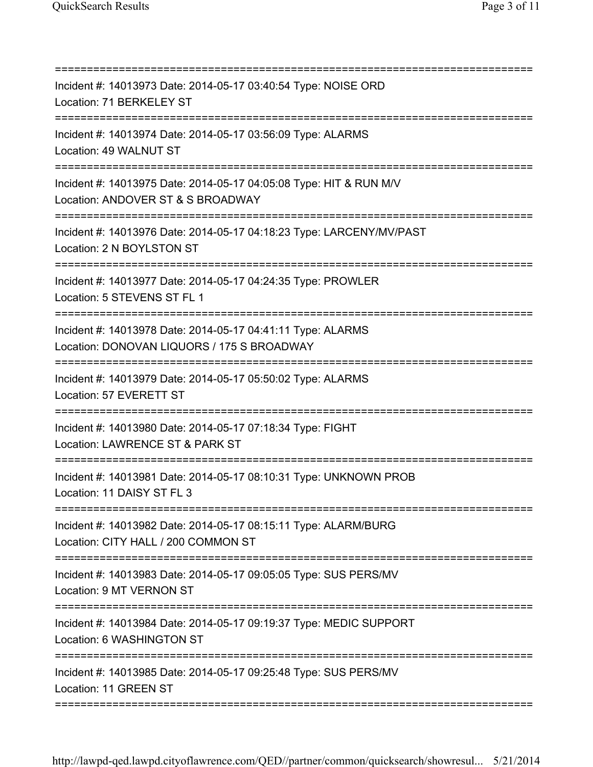| Incident #: 14013973 Date: 2014-05-17 03:40:54 Type: NOISE ORD<br>Location: 71 BERKELEY ST<br>====================                   |
|--------------------------------------------------------------------------------------------------------------------------------------|
| Incident #: 14013974 Date: 2014-05-17 03:56:09 Type: ALARMS<br>Location: 49 WALNUT ST<br>==================================          |
| Incident #: 14013975 Date: 2014-05-17 04:05:08 Type: HIT & RUN M/V<br>Location: ANDOVER ST & S BROADWAY                              |
| Incident #: 14013976 Date: 2014-05-17 04:18:23 Type: LARCENY/MV/PAST<br>Location: 2 N BOYLSTON ST                                    |
| Incident #: 14013977 Date: 2014-05-17 04:24:35 Type: PROWLER<br>Location: 5 STEVENS ST FL 1                                          |
| Incident #: 14013978 Date: 2014-05-17 04:41:11 Type: ALARMS<br>Location: DONOVAN LIQUORS / 175 S BROADWAY<br>======================= |
| Incident #: 14013979 Date: 2014-05-17 05:50:02 Type: ALARMS<br>Location: 57 EVERETT ST                                               |
| Incident #: 14013980 Date: 2014-05-17 07:18:34 Type: FIGHT<br>Location: LAWRENCE ST & PARK ST                                        |
| Incident #: 14013981 Date: 2014-05-17 08:10:31 Type: UNKNOWN PROB<br>Location: 11 DAISY ST FL 3                                      |
| Incident #: 14013982 Date: 2014-05-17 08:15:11 Type: ALARM/BURG<br>Location: CITY HALL / 200 COMMON ST                               |
| ======================<br>Incident #: 14013983 Date: 2014-05-17 09:05:05 Type: SUS PERS/MV<br>Location: 9 MT VERNON ST               |
| Incident #: 14013984 Date: 2014-05-17 09:19:37 Type: MEDIC SUPPORT<br>Location: 6 WASHINGTON ST                                      |
| Incident #: 14013985 Date: 2014-05-17 09:25:48 Type: SUS PERS/MV<br>Location: 11 GREEN ST                                            |
|                                                                                                                                      |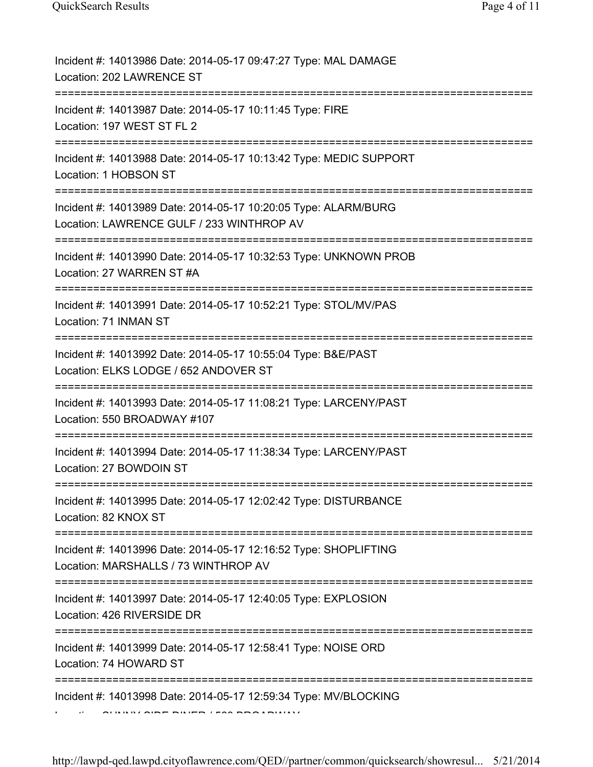| Incident #: 14013986 Date: 2014-05-17 09:47:27 Type: MAL DAMAGE<br>Location: 202 LAWRENCE ST                 |
|--------------------------------------------------------------------------------------------------------------|
| Incident #: 14013987 Date: 2014-05-17 10:11:45 Type: FIRE<br>Location: 197 WEST ST FL 2                      |
| Incident #: 14013988 Date: 2014-05-17 10:13:42 Type: MEDIC SUPPORT<br>Location: 1 HOBSON ST                  |
| Incident #: 14013989 Date: 2014-05-17 10:20:05 Type: ALARM/BURG<br>Location: LAWRENCE GULF / 233 WINTHROP AV |
| Incident #: 14013990 Date: 2014-05-17 10:32:53 Type: UNKNOWN PROB<br>Location: 27 WARREN ST #A               |
| Incident #: 14013991 Date: 2014-05-17 10:52:21 Type: STOL/MV/PAS<br>Location: 71 INMAN ST                    |
| Incident #: 14013992 Date: 2014-05-17 10:55:04 Type: B&E/PAST<br>Location: ELKS LODGE / 652 ANDOVER ST       |
| Incident #: 14013993 Date: 2014-05-17 11:08:21 Type: LARCENY/PAST<br>Location: 550 BROADWAY #107             |
| Incident #: 14013994 Date: 2014-05-17 11:38:34 Type: LARCENY/PAST<br>Location: 27 BOWDOIN ST                 |
| Incident #: 14013995 Date: 2014-05-17 12:02:42 Type: DISTURBANCE<br>Location: 82 KNOX ST                     |
| Incident #: 14013996 Date: 2014-05-17 12:16:52 Type: SHOPLIFTING<br>Location: MARSHALLS / 73 WINTHROP AV     |
| Incident #: 14013997 Date: 2014-05-17 12:40:05 Type: EXPLOSION<br>Location: 426 RIVERSIDE DR                 |
| Incident #: 14013999 Date: 2014-05-17 12:58:41 Type: NOISE ORD<br>Location: 74 HOWARD ST<br>:==============  |
| Incident #: 14013998 Date: 2014-05-17 12:59:34 Type: MV/BLOCKING                                             |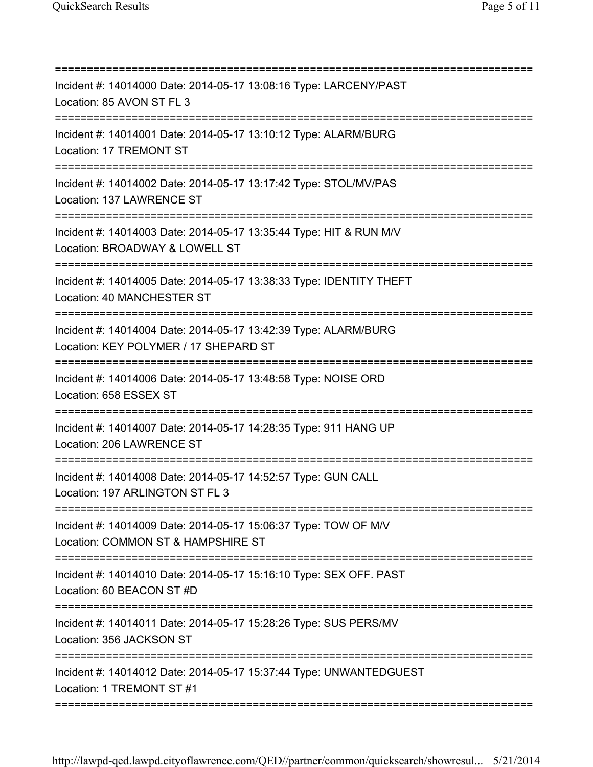| Incident #: 14014000 Date: 2014-05-17 13:08:16 Type: LARCENY/PAST<br>Location: 85 AVON ST FL 3           |
|----------------------------------------------------------------------------------------------------------|
| Incident #: 14014001 Date: 2014-05-17 13:10:12 Type: ALARM/BURG<br>Location: 17 TREMONT ST               |
| Incident #: 14014002 Date: 2014-05-17 13:17:42 Type: STOL/MV/PAS<br>Location: 137 LAWRENCE ST            |
| Incident #: 14014003 Date: 2014-05-17 13:35:44 Type: HIT & RUN M/V<br>Location: BROADWAY & LOWELL ST     |
| Incident #: 14014005 Date: 2014-05-17 13:38:33 Type: IDENTITY THEFT<br>Location: 40 MANCHESTER ST        |
| Incident #: 14014004 Date: 2014-05-17 13:42:39 Type: ALARM/BURG<br>Location: KEY POLYMER / 17 SHEPARD ST |
| Incident #: 14014006 Date: 2014-05-17 13:48:58 Type: NOISE ORD<br>Location: 658 ESSEX ST                 |
| Incident #: 14014007 Date: 2014-05-17 14:28:35 Type: 911 HANG UP<br>Location: 206 LAWRENCE ST            |
| Incident #: 14014008 Date: 2014-05-17 14:52:57 Type: GUN CALL<br>Location: 197 ARLINGTON ST FL 3         |
| Incident #: 14014009 Date: 2014-05-17 15:06:37 Type: TOW OF M/V<br>Location: COMMON ST & HAMPSHIRE ST    |
| Incident #: 14014010 Date: 2014-05-17 15:16:10 Type: SEX OFF. PAST<br>Location: 60 BEACON ST #D          |
| Incident #: 14014011 Date: 2014-05-17 15:28:26 Type: SUS PERS/MV<br>Location: 356 JACKSON ST             |
| Incident #: 14014012 Date: 2014-05-17 15:37:44 Type: UNWANTEDGUEST<br>Location: 1 TREMONT ST #1          |
|                                                                                                          |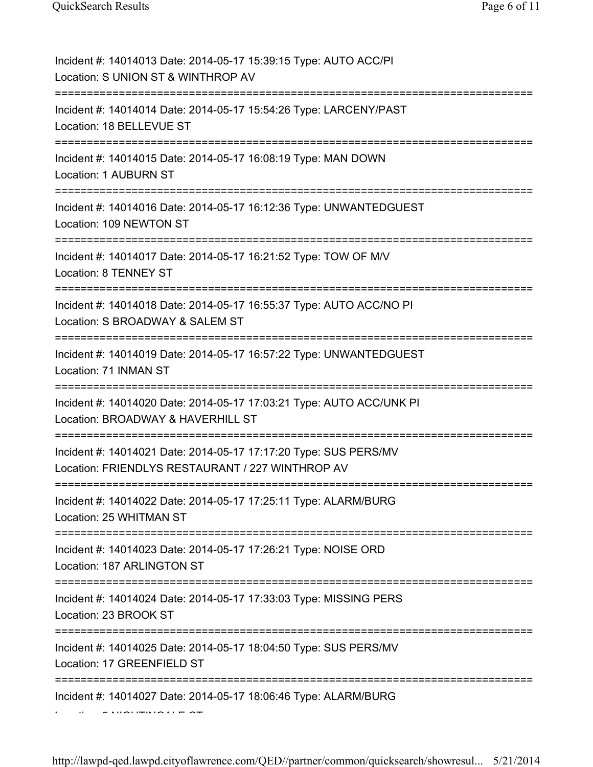| Incident #: 14014013 Date: 2014-05-17 15:39:15 Type: AUTO ACC/PI<br>Location: S UNION ST & WINTHROP AV                                 |
|----------------------------------------------------------------------------------------------------------------------------------------|
| Incident #: 14014014 Date: 2014-05-17 15:54:26 Type: LARCENY/PAST<br>Location: 18 BELLEVUE ST                                          |
| Incident #: 14014015 Date: 2014-05-17 16:08:19 Type: MAN DOWN<br><b>Location: 1 AUBURN ST</b><br>============================          |
| Incident #: 14014016 Date: 2014-05-17 16:12:36 Type: UNWANTEDGUEST<br>Location: 109 NEWTON ST                                          |
| Incident #: 14014017 Date: 2014-05-17 16:21:52 Type: TOW OF M/V<br>Location: 8 TENNEY ST                                               |
| Incident #: 14014018 Date: 2014-05-17 16:55:37 Type: AUTO ACC/NO PI<br>Location: S BROADWAY & SALEM ST<br>===========================  |
| Incident #: 14014019 Date: 2014-05-17 16:57:22 Type: UNWANTEDGUEST<br>Location: 71 INMAN ST                                            |
| Incident #: 14014020 Date: 2014-05-17 17:03:21 Type: AUTO ACC/UNK PI<br>Location: BROADWAY & HAVERHILL ST<br>========================= |
| Incident #: 14014021 Date: 2014-05-17 17:17:20 Type: SUS PERS/MV<br>Location: FRIENDLYS RESTAURANT / 227 WINTHROP AV                   |
| Incident #: 14014022 Date: 2014-05-17 17:25:11 Type: ALARM/BURG<br>Location: 25 WHITMAN ST                                             |
| <u> :======================</u><br>Incident #: 14014023 Date: 2014-05-17 17:26:21 Type: NOISE ORD<br>Location: 187 ARLINGTON ST        |
| Incident #: 14014024 Date: 2014-05-17 17:33:03 Type: MISSING PERS<br>Location: 23 BROOK ST                                             |
| Incident #: 14014025 Date: 2014-05-17 18:04:50 Type: SUS PERS/MV<br>Location: 17 GREENFIELD ST                                         |
| Incident #: 14014027 Date: 2014-05-17 18:06:46 Type: ALARM/BURG                                                                        |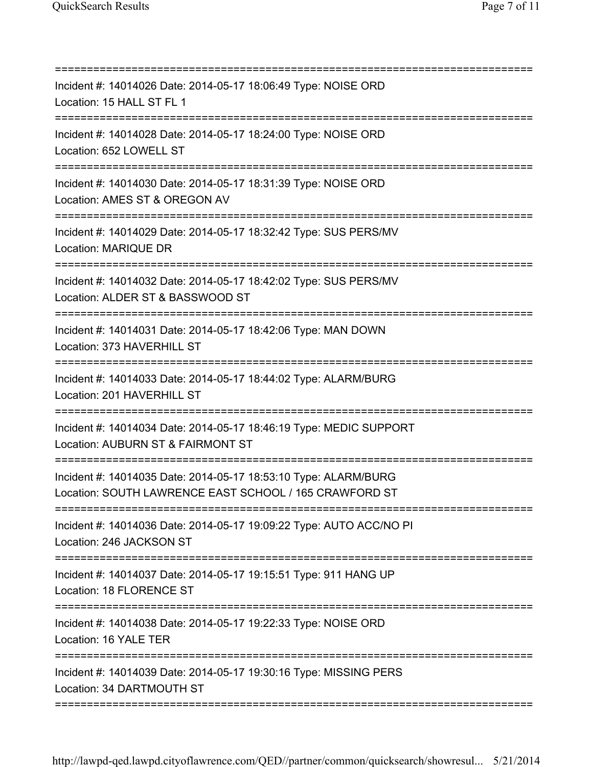| Incident #: 14014026 Date: 2014-05-17 18:06:49 Type: NOISE ORD<br>Location: 15 HALL ST FL 1<br>Incident #: 14014028 Date: 2014-05-17 18:24:00 Type: NOISE ORD<br>Location: 652 LOWELL ST<br>Incident #: 14014030 Date: 2014-05-17 18:31:39 Type: NOISE ORD<br>Location: AMES ST & OREGON AV<br>Incident #: 14014029 Date: 2014-05-17 18:32:42 Type: SUS PERS/MV<br>Location: MARIQUE DR<br>Incident #: 14014032 Date: 2014-05-17 18:42:02 Type: SUS PERS/MV<br>Location: ALDER ST & BASSWOOD ST<br>====================================<br>Incident #: 14014031 Date: 2014-05-17 18:42:06 Type: MAN DOWN<br>Location: 373 HAVERHILL ST<br>Incident #: 14014033 Date: 2014-05-17 18:44:02 Type: ALARM/BURG<br>Location: 201 HAVERHILL ST<br>==============================<br>Incident #: 14014034 Date: 2014-05-17 18:46:19 Type: MEDIC SUPPORT<br>Location: AUBURN ST & FAIRMONT ST<br>Incident #: 14014035 Date: 2014-05-17 18:53:10 Type: ALARM/BURG<br>Location: SOUTH LAWRENCE EAST SCHOOL / 165 CRAWFORD ST |
|-------------------------------------------------------------------------------------------------------------------------------------------------------------------------------------------------------------------------------------------------------------------------------------------------------------------------------------------------------------------------------------------------------------------------------------------------------------------------------------------------------------------------------------------------------------------------------------------------------------------------------------------------------------------------------------------------------------------------------------------------------------------------------------------------------------------------------------------------------------------------------------------------------------------------------------------------------------------------------------------------------------------|
|                                                                                                                                                                                                                                                                                                                                                                                                                                                                                                                                                                                                                                                                                                                                                                                                                                                                                                                                                                                                                   |
|                                                                                                                                                                                                                                                                                                                                                                                                                                                                                                                                                                                                                                                                                                                                                                                                                                                                                                                                                                                                                   |
|                                                                                                                                                                                                                                                                                                                                                                                                                                                                                                                                                                                                                                                                                                                                                                                                                                                                                                                                                                                                                   |
|                                                                                                                                                                                                                                                                                                                                                                                                                                                                                                                                                                                                                                                                                                                                                                                                                                                                                                                                                                                                                   |
|                                                                                                                                                                                                                                                                                                                                                                                                                                                                                                                                                                                                                                                                                                                                                                                                                                                                                                                                                                                                                   |
|                                                                                                                                                                                                                                                                                                                                                                                                                                                                                                                                                                                                                                                                                                                                                                                                                                                                                                                                                                                                                   |
|                                                                                                                                                                                                                                                                                                                                                                                                                                                                                                                                                                                                                                                                                                                                                                                                                                                                                                                                                                                                                   |
|                                                                                                                                                                                                                                                                                                                                                                                                                                                                                                                                                                                                                                                                                                                                                                                                                                                                                                                                                                                                                   |
|                                                                                                                                                                                                                                                                                                                                                                                                                                                                                                                                                                                                                                                                                                                                                                                                                                                                                                                                                                                                                   |
| Incident #: 14014036 Date: 2014-05-17 19:09:22 Type: AUTO ACC/NO PI<br>Location: 246 JACKSON ST<br>================================                                                                                                                                                                                                                                                                                                                                                                                                                                                                                                                                                                                                                                                                                                                                                                                                                                                                               |
| Incident #: 14014037 Date: 2014-05-17 19:15:51 Type: 911 HANG UP<br>Location: 18 FLORENCE ST                                                                                                                                                                                                                                                                                                                                                                                                                                                                                                                                                                                                                                                                                                                                                                                                                                                                                                                      |
| Incident #: 14014038 Date: 2014-05-17 19:22:33 Type: NOISE ORD<br>Location: 16 YALE TER                                                                                                                                                                                                                                                                                                                                                                                                                                                                                                                                                                                                                                                                                                                                                                                                                                                                                                                           |
| Incident #: 14014039 Date: 2014-05-17 19:30:16 Type: MISSING PERS<br>Location: 34 DARTMOUTH ST                                                                                                                                                                                                                                                                                                                                                                                                                                                                                                                                                                                                                                                                                                                                                                                                                                                                                                                    |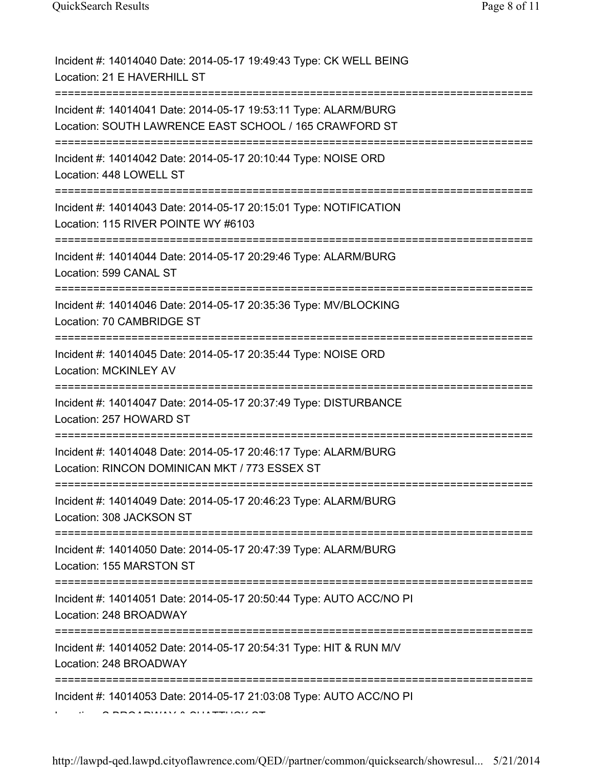| Incident #: 14014040 Date: 2014-05-17 19:49:43 Type: CK WELL BEING<br>Location: 21 E HAVERHILL ST                                      |
|----------------------------------------------------------------------------------------------------------------------------------------|
| Incident #: 14014041 Date: 2014-05-17 19:53:11 Type: ALARM/BURG<br>Location: SOUTH LAWRENCE EAST SCHOOL / 165 CRAWFORD ST              |
| Incident #: 14014042 Date: 2014-05-17 20:10:44 Type: NOISE ORD<br>Location: 448 LOWELL ST                                              |
| Incident #: 14014043 Date: 2014-05-17 20:15:01 Type: NOTIFICATION<br>Location: 115 RIVER POINTE WY #6103<br>========================== |
| Incident #: 14014044 Date: 2014-05-17 20:29:46 Type: ALARM/BURG<br>Location: 599 CANAL ST                                              |
| Incident #: 14014046 Date: 2014-05-17 20:35:36 Type: MV/BLOCKING<br>Location: 70 CAMBRIDGE ST<br>================                      |
| Incident #: 14014045 Date: 2014-05-17 20:35:44 Type: NOISE ORD<br>Location: MCKINLEY AV                                                |
| Incident #: 14014047 Date: 2014-05-17 20:37:49 Type: DISTURBANCE<br>Location: 257 HOWARD ST                                            |
| Incident #: 14014048 Date: 2014-05-17 20:46:17 Type: ALARM/BURG<br>Location: RINCON DOMINICAN MKT / 773 ESSEX ST                       |
| Incident #: 14014049 Date: 2014-05-17 20:46:23 Type: ALARM/BURG<br>Location: 308 JACKSON ST                                            |
| Incident #: 14014050 Date: 2014-05-17 20:47:39 Type: ALARM/BURG<br>Location: 155 MARSTON ST                                            |
| Incident #: 14014051 Date: 2014-05-17 20:50:44 Type: AUTO ACC/NO PI<br>Location: 248 BROADWAY                                          |
| Incident #: 14014052 Date: 2014-05-17 20:54:31 Type: HIT & RUN M/V<br>Location: 248 BROADWAY                                           |
| Incident #: 14014053 Date: 2014-05-17 21:03:08 Type: AUTO ACC/NO PI                                                                    |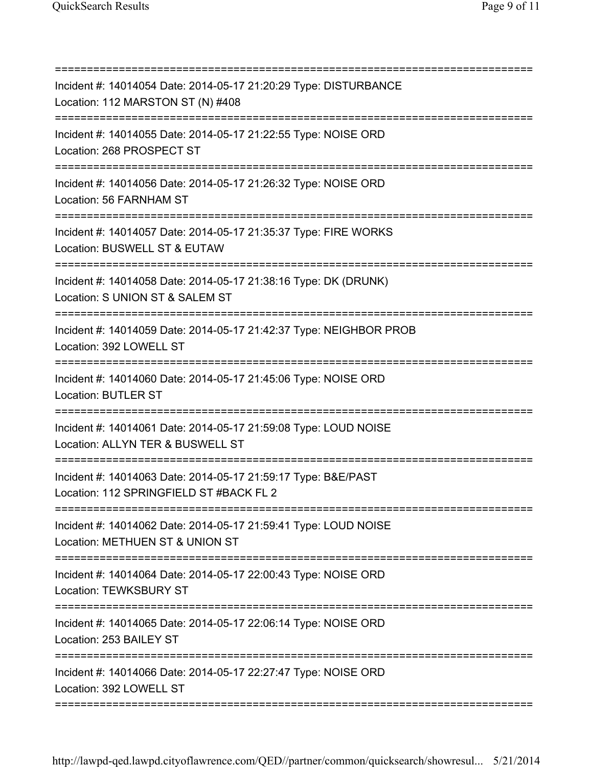| Incident #: 14014054 Date: 2014-05-17 21:20:29 Type: DISTURBANCE<br>Location: 112 MARSTON ST (N) #408                               |
|-------------------------------------------------------------------------------------------------------------------------------------|
| Incident #: 14014055 Date: 2014-05-17 21:22:55 Type: NOISE ORD<br>Location: 268 PROSPECT ST<br>==================================== |
| Incident #: 14014056 Date: 2014-05-17 21:26:32 Type: NOISE ORD<br>Location: 56 FARNHAM ST<br>================================       |
| Incident #: 14014057 Date: 2014-05-17 21:35:37 Type: FIRE WORKS<br>Location: BUSWELL ST & EUTAW                                     |
| Incident #: 14014058 Date: 2014-05-17 21:38:16 Type: DK (DRUNK)<br>Location: S UNION ST & SALEM ST                                  |
| Incident #: 14014059 Date: 2014-05-17 21:42:37 Type: NEIGHBOR PROB<br>Location: 392 LOWELL ST                                       |
| Incident #: 14014060 Date: 2014-05-17 21:45:06 Type: NOISE ORD<br><b>Location: BUTLER ST</b>                                        |
| =====================<br>Incident #: 14014061 Date: 2014-05-17 21:59:08 Type: LOUD NOISE<br>Location: ALLYN TER & BUSWELL ST        |
| Incident #: 14014063 Date: 2014-05-17 21:59:17 Type: B&E/PAST<br>Location: 112 SPRINGFIELD ST #BACK FL 2                            |
| Incident #: 14014062 Date: 2014-05-17 21:59:41 Type: LOUD NOISE<br>Location: METHUEN ST & UNION ST                                  |
| =============<br>Incident #: 14014064 Date: 2014-05-17 22:00:43 Type: NOISE ORD<br>Location: TEWKSBURY ST                           |
| Incident #: 14014065 Date: 2014-05-17 22:06:14 Type: NOISE ORD<br>Location: 253 BAILEY ST                                           |
| Incident #: 14014066 Date: 2014-05-17 22:27:47 Type: NOISE ORD<br>Location: 392 LOWELL ST                                           |
|                                                                                                                                     |

http://lawpd-qed.lawpd.cityoflawrence.com/QED//partner/common/quicksearch/showresul... 5/21/2014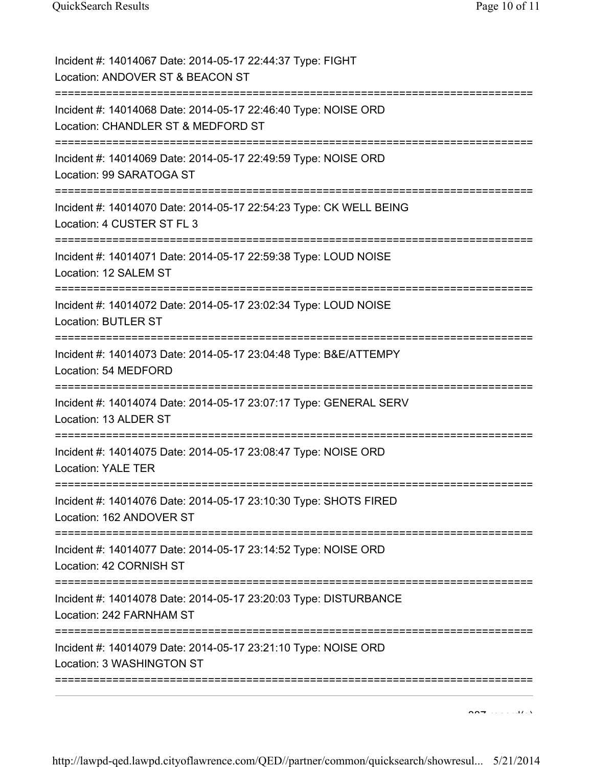| Incident #: 14014067 Date: 2014-05-17 22:44:37 Type: FIGHT<br>Location: ANDOVER ST & BEACON ST                                                          |
|---------------------------------------------------------------------------------------------------------------------------------------------------------|
| ;===========================<br>===============<br>Incident #: 14014068 Date: 2014-05-17 22:46:40 Type: NOISE ORD<br>Location: CHANDLER ST & MEDFORD ST |
| Incident #: 14014069 Date: 2014-05-17 22:49:59 Type: NOISE ORD<br>Location: 99 SARATOGA ST<br>---------------------------------                         |
| Incident #: 14014070 Date: 2014-05-17 22:54:23 Type: CK WELL BEING<br>Location: 4 CUSTER ST FL 3                                                        |
| Incident #: 14014071 Date: 2014-05-17 22:59:38 Type: LOUD NOISE<br>Location: 12 SALEM ST                                                                |
| Incident #: 14014072 Date: 2014-05-17 23:02:34 Type: LOUD NOISE<br><b>Location: BUTLER ST</b>                                                           |
| Incident #: 14014073 Date: 2014-05-17 23:04:48 Type: B&E/ATTEMPY<br>Location: 54 MEDFORD                                                                |
| Incident #: 14014074 Date: 2014-05-17 23:07:17 Type: GENERAL SERV<br>Location: 13 ALDER ST                                                              |
| Incident #: 14014075 Date: 2014-05-17 23:08:47 Type: NOISE ORD<br><b>Location: YALE TER</b>                                                             |
| Incident #: 14014076 Date: 2014-05-17 23:10:30 Type: SHOTS FIRED<br>Location: 162 ANDOVER ST                                                            |
| Incident #: 14014077 Date: 2014-05-17 23:14:52 Type: NOISE ORD<br>Location: 42 CORNISH ST                                                               |
| Incident #: 14014078 Date: 2014-05-17 23:20:03 Type: DISTURBANCE<br>Location: 242 FARNHAM ST                                                            |
| Incident #: 14014079 Date: 2014-05-17 23:21:10 Type: NOISE ORD<br>Location: 3 WASHINGTON ST                                                             |

 $\overline{387}$  record(s)